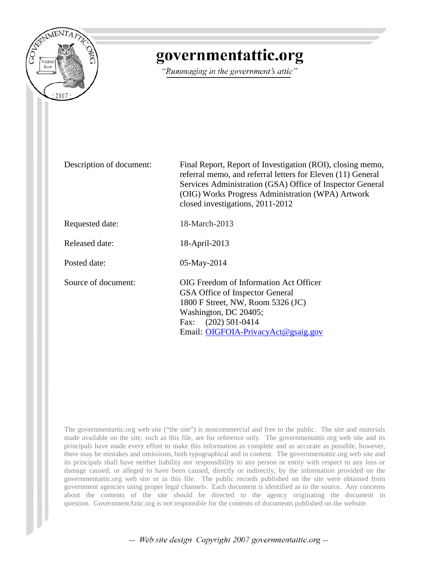

# governmentattic.org

"Rummaging in the government's attic"

Description of document: Final Report, Report of Investigation (ROI), closing memo, referral memo, and referral letters for Eleven (11) General Services Administration (GSA) Office of Inspector General (OIG) Works Progress Administration (WPA) Artwork closed investigations, 2011-2012

Requested date: 18-March-2013

Released date: 18-April-2013

Posted date: 05-May-2014

Source of document: OIG Freedom of Information Act Officer GSA Office of Inspector General 1800 F Street, NW, Room 5326 (JC) Washington, DC 20405; Fax: [\(202\) 501-0414](mailto:OIGFOIA-PrivacyAct@gsaig.gov?subject=FOIA%20Request)  Email: OIGFOIA-PrivacyAct@gsaig.gov

The governmentattic.org web site ("the site") is noncommercial and free to the public. The site and materials made available on the site, such as this file, are for reference only. The governmentattic.org web site and its principals have made every effort to make this information as complete and as accurate as possible, however, there may be mistakes and omissions, both typographical and in content. The governmentattic.org web site and its principals shall have neither liability nor responsibility to any person or entity with respect to any loss or damage caused, or alleged to have been caused, directly or indirectly, by the information provided on the governmentattic.org web site or in this file. The public records published on the site were obtained from government agencies using proper legal channels. Each document is identified as to the source. Any concerns about the contents of the site should be directed to the agency originating the document in question. GovernmentAttic.org is not responsible for the contents of documents published on the website.

-- Web site design Copyright 2007 governmentattic.org --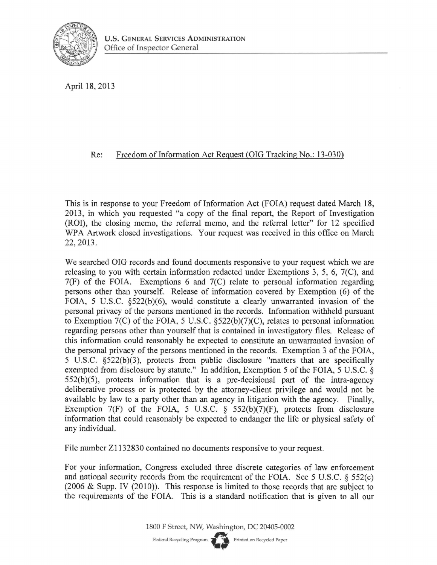

April 18, 2013

#### Re: Freedom of Information Act Request (OIG Tracking No.: 13-030)

This is in response to your Freedom of Information Act (FOIA) request dated March 18, 2013, in which you requested "a copy of the final report, the Report of Investigation (ROI), the closing memo, the referral memo, and the referral letter" for 12 specified WPA Artwork closed investigations. Your request was received in this office on March 22, 2013.

We searched OIG records and found documents responsive to your request which we are releasing to you with certain information redacted under Exemptions 3, 5, 6, 7(C), and 7(F) of the FOIA. Exemptions 6 and 7(C) relate to personal information regarding persons other than yourself. Release of information covered by Exemption (6) of the FOIA, 5 U.S.C. §522(b)(6), would constitute a clearly unwarranted invasion of the personal privacy of the persons mentioned in the records. Information withheld pursuant to Exemption 7(C) of the FOIA, 5 U.S.C. §522(b)(7)(C), relates to personal information regarding persons other than yourself that is contained in investigatory files. Release of this information could reasonably be expected to constitute an unwarranted invasion of the personal privacy of the persons mentioned in the records. Exemption 3 of the FOIA, 5 U.S.C. §522(b)(3), protects from public disclosure "matters that are specifically exempted from disclosure by statute." In addition, Exemption 5 of the FOIA, 5 U.S.C. §  $552(b)(5)$ , protects information that is a pre-decisional part of the intra-agency deliberative process or is protected by the attorney-client privilege and would not be available by law to a party other than an agency in litigation with the agency. Finally, Exemption  $7(F)$  of the FOIA, 5 U.S.C. § 552(b)(7)(F), protects from disclosure information that could reasonably be expected to endanger the life or physical safety of any individual.

File number Zl 132830 contained no documents responsive to your request.

For your information, Congress excluded three discrete categories of law enforcement and national security records from the requirement of the FOIA. See 5 U.S.C.  $\S$  552(c) (2006 & Supp. IV (2010)). This response is limited to those records that are subject to the requirements of the FOIA. This is a standard notification that is given to all our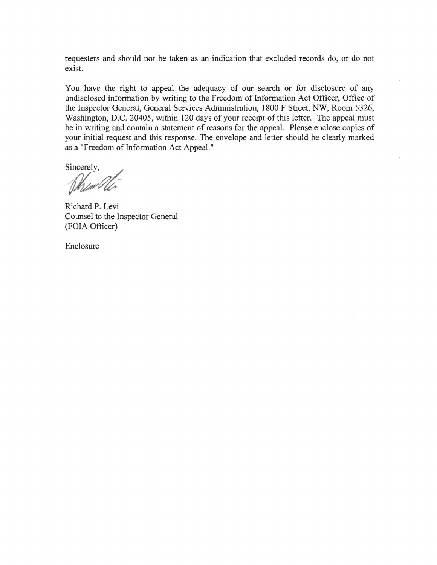requesters and should not be taken as an indication that excluded records do, or do not exist.

You have the right to appeal the adequacy of our search or for disclosure of any undisclosed information by writing to the Freedom of Information Act Officer, Office of the Inspector General, General Services Administration, 1800 F Street, NW, Room 5326, Washington, D.C. 20405, within 120 days of your receipt of this letter. The appeal must be in writing and contain a statement of reasons for the appeal. Please enclose copies of your initial request and this response. The envelope and letter should be clearly marked as a "Freedom of Information Act Appeal."

Sincerely,

When Ole

Richard P. Levi Counsel to the Inspector General (FOIA Officer)

Enclosure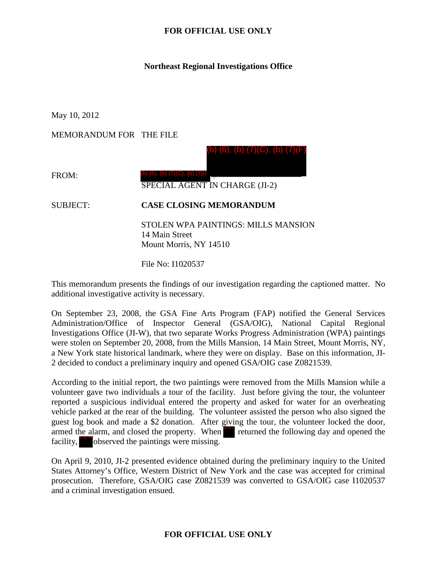#### **Northeast Regional Investigations Office**

May 10, 2012

MEMORANDUM FOR THE FILE

(b) (6), (b) (7)(C), (b) (7)(F)

FROM:

SPECIAL AGENT IN CHARGE (JI-2)

SUBJECT: **CASE CLOSING MEMORANDUM**

(b) (6), (b) (7)(C), (b) (7)(F)

STOLEN WPA PAINTINGS: MILLS MANSION 14 Main Street Mount Morris, NY 14510

File No: I1020537

This memorandum presents the findings of our investigation regarding the captioned matter. No additional investigative activity is necessary.

On September 23, 2008, the GSA Fine Arts Program (FAP) notified the General Services Administration/Office of Inspector General (GSA/OIG), National Capital Regional Investigations Office (JI-W), that two separate Works Progress Administration (WPA) paintings were stolen on September 20, 2008, from the Mills Mansion, 14 Main Street, Mount Morris, NY, a New York state historical landmark, where they were on display. Base on this information, JI-2 decided to conduct a preliminary inquiry and opened GSA/OIG case Z0821539.

According to the initial report, the two paintings were removed from the Mills Mansion while a volunteer gave two individuals a tour of the facility. Just before giving the tour, the volunteer reported a suspicious individual entered the property and asked for water for an overheating vehicle parked at the rear of the building. The volunteer assisted the person who also signed the guest log book and made a \$2 donation. After giving the tour, the volunteer locked the door, armed the alarm, and closed the property. When returned the following day and opened the facility,  $\delta$  observed the paintings were missing.

On April 9, 2010, JI-2 presented evidence obtained during the preliminary inquiry to the United States Attorney's Office, Western District of New York and the case was accepted for criminal prosecution. Therefore, GSA/OIG case Z0821539 was converted to GSA/OIG case I1020537 and a criminal investigation ensued.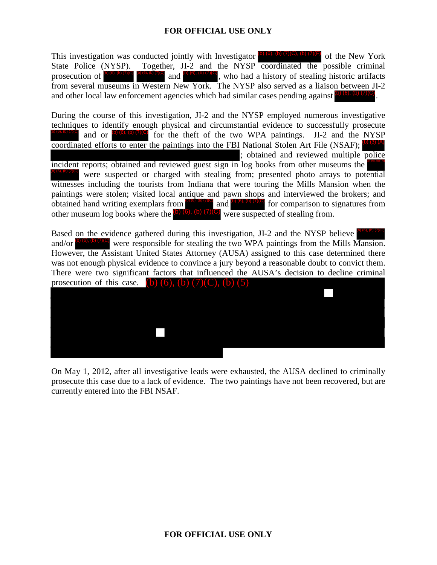This investigation was conducted jointly with Investigator  $\left(0\right)$  (6), (b) (7)(C), (b) (7)(F) of the New York State Police (NYSP). Together, JI-2 and the NYSP coordinated the possible criminal prosecution of and , who had a history of stealing historic artifacts from several museums in Western New York. The NYSP also served as a liaison between JI-2 and other local law enforcement agencies which had similar cases pending against  $\left($ b)  $\left($ 6). (b)  $\left($ 7) $\left($ 

During the course of this investigation, JI-2 and the NYSP employed numerous investigative techniques to identify enough physical and circumstantial evidence to successfully prosecute (b) (6), (b) (7)(c) and or (b) (6), (b) (7)(C) for the theft of the two WPA paintings. JI-2 and the NYSP coordinated efforts to enter the paintings into the FBI National Stolen Art File (NSAF); (b) (3) (A) ; obtained and reviewed multiple police incident reports; obtained and reviewed guest sign in log books from other museums the were suspected or charged with stealing from; presented photo arrays to potential witnesses including the tourists from Indiana that were touring the Mills Mansion when the paintings were stolen; visited local antique and pawn shops and interviewed the brokers; and obtained hand writing exemplars from  $\frac{160(0, 0) \cdot (0) \cdot (0)}{100(0)}$  and  $\frac{1}{100(0, 0) \cdot (0) \cdot (0)}$  for comparison to signatures from other museum log books where the  $(b)$   $(6)$ ,  $(b)$   $(7)(C)$  were suspected of stealing from. (b) (6), (b) (7)(C) prosecution of **biological** and **biological** and **c**) (**b**), (**b**) (**b**), (**b**) (**b**), who had a history of stealing historic artifation and other local law enforcement agencies which had similar cases pending against **b Broadburg** and **Broadburg**, who had a history of stealing useums in Western New York. The NYSP also served as a lia law enforcement agencies which had similar cases pending agains are of this investigation, JI-2 and the

Based on the evidence gathered during this investigation, JI-2 and the NYSP believe and/or  $\frac{1}{2}$  (6), (6), (6), (7)(6) were responsible for stealing the two WPA paintings from the Mills Mansion. However, the Assistant United States Attorney (AUSA) assigned to this case determined there was not enough physical evidence to convince a jury beyond a reasonable doubt to convict them. There were two significant factors that influenced the AUSA's decision to decline criminal prosecution of this case. (b)  $(6)$ ,  $(b)$   $(7)(C)$ ,  $(b)$   $(5)$ (b) (6), (b) (7)(C) (b) (6), (b) (7)(C)



On May 1, 2012, after all investigative leads were exhausted, the AUSA declined to criminally prosecute this case due to a lack of evidence. The two paintings have not been recovered, but are currently entered into the FBI NSAF.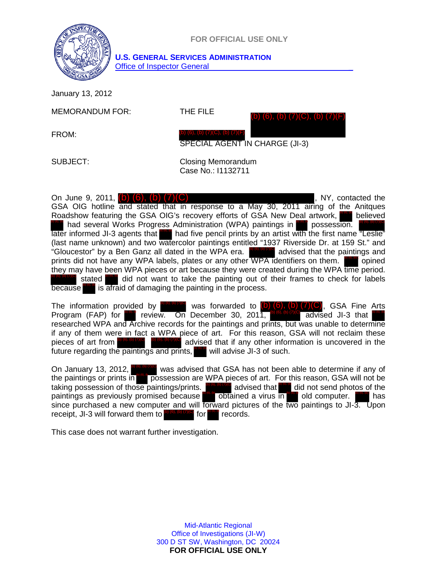

January 13, 2012

MEMORANDUM FOR: THE FILE

(b) (6), (b) (7)(C), (b) (7)(F)

FROM:

SPECIAL AGENT IN CHARGE (JI-3)

SUBJECT: Closing Memorandum Case No.: I1132711

(b) (6), (b) (7)(C), (b) (7)(F)

On June 9, 2011,  $(b)$   $(6)$ ,  $(b)$   $(7)(C)$  expression of the set of the set of the set of the set of the set of the set of the set of the set of the set of the set of the set of the set of the set of the set of the set of GSA OIG hotline and stated that in response to a May 30, 2011 airing of the Anitques Roadshow featuring the GSA OIG's recovery efforts of GSA New Deal artwork, **DIGLER THAN SEXET ADMINISTER CONTROLLY AND THAN ADMINIST CONTROLLY CONTROLLY CONTROLLY CONCO CONTROLLY CONTROLLY CONTROLLY CONTROLLY CONTROLLY CONTROLLY CONTROLLY CONTROLLY CONTROLLY CONTROLLY CONTROLLY CONTROLLY CONTROLL** later informed JI-3 agents that **that that five pencil prints by an artist with the first name "Leslie"** (last name unknown) and two watercolor paintings entitled "1937 Riverside Dr. at 159 St." and "Gloucestor" by a Ben Ganz all dated in the WPA era. **The latt of advised that the paintings and** prints did not have any WPA labels, plates or any other WPA identifiers on them. **The prined** they may have been WPA pieces or art because they were created during the WPA time period. did not want to take the painting out of their frames to check for labels because **ble.** is afraid of damaging the painting in the process. believed (b)  $(6)$ ,  $(b)$ stated

The information provided by  $\frac{10,60,60,700}{1000}$  was forwarded to  $(b)$  (6), (b) (7)(C), GSA Fine Arts Program (FAP) for **DOM** review. On December 30, 2011, <sup>(b) (6), (b) (7)<sup>(c)</sup> advised JI-3 that  $\frac{10000}{1000}$ </sup> researched WPA and Archive records for the paintings and prints, but was unable to determine if any of them were in fact a WPA piece of art. For this reason, GSA will not reclaim these advised that if any other information is uncovered in the future regarding the paintings and prints, pieces of art from  $\frac{b}{c}$ ,  $\frac{c}{c}$ will advise  $JI-3$  of such.

On January 13, 2012, **We exalle** was advised that GSA has not been able to determine if any of the paintings or prints in prossession are WPA pieces of art. For this reason, GSA will not be taking possession of those paintings/prints. **Browning** advised that did not send photos of the paintings as previously promised because obtained a virus in old computer. The has since purchased a new computer and will forward pictures of the two paintings to JI-3. Upon receipt, JI-3 will forward them to  $\frac{1}{2}$  (6), (b) (7)(c) for records. (b) (6), (b) (7)(C) (b) (c) (c) (c) (c) (c) (f), (b) (f), (b) (b) (6), (b) (c), (b) (c), (c) (c), (c) (c), (c) (c), (c) (c), (b) (7)(C), (b) (7)(C), (c) (7)(C), (1)(C), (1)(C), (2)(C), (2)(C), (2)(C), (2)(C), (2)(C), (2)(C), (2)(C), (2)(C), (2)(C), (2)(C), (2)(C), (2)(C), (2)(C), (2  $\bullet$  for

This case does not warrant further investigation.

Mid-Atlantic Regional Office of Investigations (JI-W) 300 D ST SW, Washington, DC 20024 **FOR OFFICIAL USE ONLY**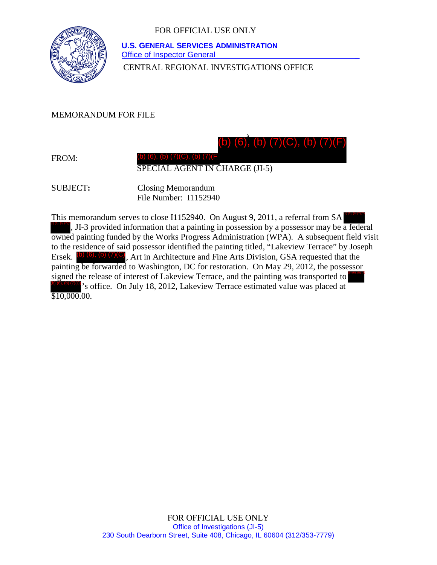

CENTRAL REGIONAL INVESTIGATIONS OFFICE  **U.S. GENERAL SERVICES ADMINISTRATION Office of Inspector General** 

MEMORANDUM FOR FILE

(b) (6), (b) (7)(C), (b) (7)(F)

FROM:

SPECIAL AGENT IN CHARGE (JI-5)

(b) (6), (b) (7)(C), (b) (7)(F)

SUBJECT**:** Closing Memorandum File Number: I1152940

This memorandum serves to close I1152940. On August 9, 2011, a referral from SA , JI-3 provided information that a painting in possession by a possessor may be a federal (b) (6), (b) (7)(C), (b) (7)(F) owned painting funded by the Works Progress Administration (WPA). A subsequent field visit to the residence of said possessor identified the painting titled, "Lakeview Terrace" by Joseph Ersek. (b) (6), (b) (7)(C), Art in Architecture and Fine Arts Division, GSA requested that the painting be forwarded to Washington, DC for restoration. On May 29, 2012, the possessor signed the release of interest of Lakeview Terrace, and the painting was transported to 's office. On July 18, 2012, Lakeview Terrace estimated value was placed at \$10,000.00. (b) (6), (b) (7)(C), (b) (7)(F) (b) (6), (b) (7)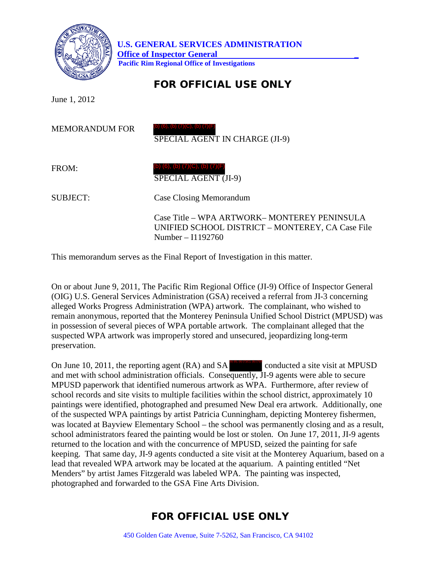

June 1, 2012

MEMORANDUM FOR SPECIAL AGENT IN CHARGE (JI-9) (b) (6), (b) (7)(C), (b) (7)(F)

FROM:

 SPECIAL AGENT (JI-9) (b) (6), (b) (7)(C), (b) (7)(F)

SUBJECT: Case Closing Memorandum

Case Title – WPA ARTWORK– MONTEREY PENINSULA UNIFIED SCHOOL DISTRICT – MONTEREY, CA Case File Number – I1192760

This memorandum serves as the Final Report of Investigation in this matter.

On or about June 9, 2011, The Pacific Rim Regional Office (JI-9) Office of Inspector General (OIG) U.S. General Services Administration (GSA) received a referral from JI-3 concerning alleged Works Progress Administration (WPA) artwork. The complainant, who wished to remain anonymous, reported that the Monterey Peninsula Unified School District (MPUSD) was in possession of several pieces of WPA portable artwork. The complainant alleged that the suspected WPA artwork was improperly stored and unsecured, jeopardizing long-term preservation.

On June 10, 2011, the reporting agent  $(RA)$  and  $SA$  conducted a site visit at MPUSD and met with school administration officials. Consequently, JI-9 agents were able to secure MPUSD paperwork that identified numerous artwork as WPA. Furthermore, after review of school records and site visits to multiple facilities within the school district, approximately 10 paintings were identified, photographed and presumed New Deal era artwork. Additionally, one of the suspected WPA paintings by artist Patricia Cunningham, depicting Monterey fishermen, was located at Bayview Elementary School – the school was permanently closing and as a result, school administrators feared the painting would be lost or stolen. On June 17, 2011, JI-9 agents returned to the location and with the concurrence of MPUSD, seized the painting for safe keeping. That same day, JI-9 agents conducted a site visit at the Monterey Aquarium, based on a lead that revealed WPA artwork may be located at the aquarium. A painting entitled "Net Menders" by artist James Fitzgerald was labeled WPA. The painting was inspected, photographed and forwarded to the GSA Fine Arts Division. (b) (6), (b) (7)(C), (b) (7)(F)

# FOR OFFICIAL USE ONLY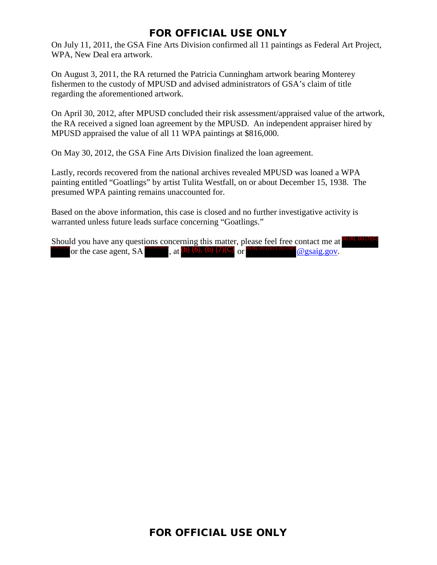On July 11, 2011, the GSA Fine Arts Division confirmed all 11 paintings as Federal Art Project, WPA, New Deal era artwork.

On August 3, 2011, the RA returned the Patricia Cunningham artwork bearing Monterey fishermen to the custody of MPUSD and advised administrators of GSA's claim of title regarding the aforementioned artwork.

On April 30, 2012, after MPUSD concluded their risk assessment/appraised value of the artwork, the RA received a signed loan agreement by the MPUSD. An independent appraiser hired by MPUSD appraised the value of all 11 WPA paintings at \$816,000.

On May 30, 2012, the GSA Fine Arts Division finalized the loan agreement.

Lastly, records recovered from the national archives revealed MPUSD was loaned a WPA painting entitled "Goatlings" by artist Tulita Westfall, on or about December 15, 1938. The presumed WPA painting remains unaccounted for.

Based on the above information, this case is closed and no further investigative activity is warranted unless future leads surface concerning "Goatlings."

Should you have any questions concerning this matter, please feel free contact me at **o**  $\mathbf{e}$ ,  $\mathbf{e}$ ,  $\mathbf{e}$ ,  $\mathbf{e}$ ,  $\mathbf{e}$  at  $\mathbf{e}$  at  $\mathbf{e}$ ,  $\mathbf{e}$ ,  $\mathbf{e}$ ,  $\mathbf{e}$ ,  $\mathbf{e}$ ,  $\mathbf{e}$ ,  $\mathbf{e}$ ,  $\mathbf{e}$ ,  $\mathbf{e}$ ,  $\mathbf{e}$ ,  $\mathbf{e}$ ,  $\mathbf{e}$ ,  $\mathbf{e}$ ,  $\mathbf{e}$ ,  $\mathbf{e}$ ,  $\math$ (b) (6), (b) (7)(C)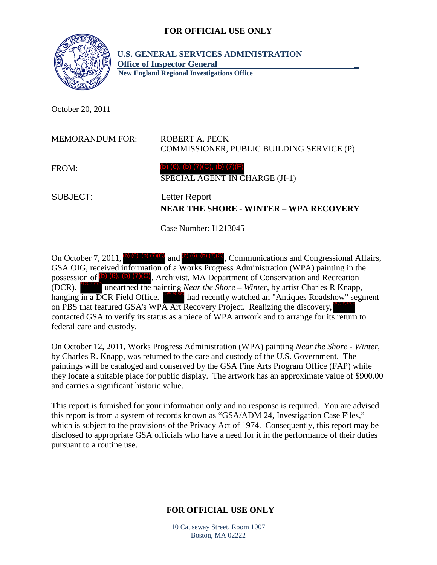

 **U.S. GENERAL SERVICES ADMINISTRATION Office of Inspector General \_ New England Regional Investigations Office** 

October 20, 2011

| <b>MEMORANDUM FOR:</b> | ROBERT A. PECK<br>COMMISSIONER, PUBLIC BUILDING SERVICE (P)            |
|------------------------|------------------------------------------------------------------------|
| FROM:                  | (b) (6), (b) $(7)(C)$ , (b) $(7)(F)$<br>SPECIAL AGENT IN CHARGE (JI-1) |
| SUBJECT:               | Letter Report<br><b>NEAR THE SHORE - WINTER - WPA RECOVERY</b>         |

Case Number: I1213045

On October 7, 2011, (b) (6), (b) (7)(C) and (b) (6), (b) (7)(C), Communications and Congressional Affairs, GSA OIG, received information of a Works Progress Administration (WPA) painting in the possession of  $(b)$  (6), (b) (7)(C), Archivist, MA Department of Conservation and Recreation (DCR). unearthed the painting *Near the Shore – Winter*, by artist Charles R Knapp, hanging in a DCR Field Office. had recently watched an "Antiques Roadshow" segment on PBS that featured GSA's WPA Art Recovery Project. Realizing the discovery, contacted GSA to verify its status as a piece of WPA artwork and to arrange for its return to federal care and custody. (b) (6), (b) (7)(C) (b) (6), (b) (7)(C)

On October 12, 2011, Works Progress Administration (WPA) painting *Near the Shore - Winter,*  by Charles R. Knapp, was returned to the care and custody of the U.S. Government. The paintings will be cataloged and conserved by the GSA Fine Arts Program Office (FAP) while they locate a suitable place for public display.The artwork has an approximate value of \$900.00 and carries a significant historic value.

This report is furnished for your information only and no response is required. You are advised this report is from a system of records known as "GSA/ADM 24, Investigation Case Files," which is subject to the provisions of the Privacy Act of 1974. Consequently, this report may be disclosed to appropriate GSA officials who have a need for it in the performance of their duties pursuant to a routine use.

## **FOR OFFICIAL USE ONLY**

10 Causeway Street, Room 1007 Boston, MA 02222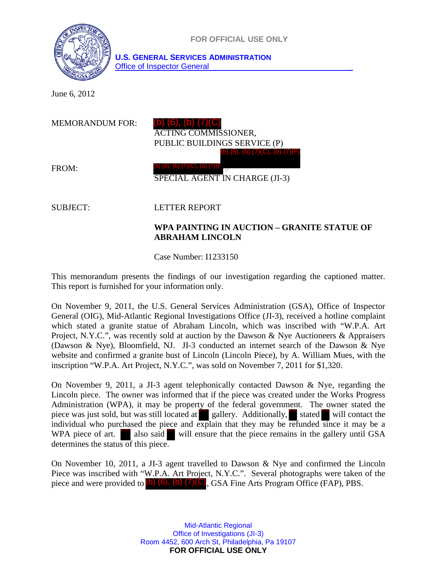

June 6, 2012

| <b>MEMORANDUM FOR:</b> | (b) $(6)$ , $(b)$ $(7)(C)$<br><b>ACTING COMMISSIONER,</b><br>PUBLIC BUILDINGS SERVICE (P)<br>(b) $(6)$ , (b) $(7)(C)$ , (b) $(7)(F)$ |
|------------------------|--------------------------------------------------------------------------------------------------------------------------------------|
| FROM:                  | (b) (6), (b) (7)(C), (b) (7)(F<br>SPECIAL AGENT IN CHARGE (JI-3)                                                                     |
|                        |                                                                                                                                      |

#### SUBJECT: LETTER REPORT

#### **WPA PAINTING IN AUCTION – GRANITE STATUE OF ABRAHAM LINCOLN**

Case Number: I1233150

This memorandum presents the findings of our investigation regarding the captioned matter. This report is furnished for your information only.

On November 9, 2011, the U.S. General Services Administration (GSA), Office of Inspector General (OIG), Mid-Atlantic Regional Investigations Office (JI-3), received a hotline complaint which stated a granite statue of Abraham Lincoln, which was inscribed with "W.P.A. Art Project, N.Y.C.", was recently sold at auction by the Dawson & Nye Auctioneers & Appraisers (Dawson & Nye), Bloomfield, NJ. JI-3 conducted an internet search of the Dawson & Nye website and confirmed a granite bust of Lincoln (Lincoln Piece), by A. William Mues, with the inscription "W.P.A. Art Project, N.Y.C.", was sold on November 7, 2011 for \$1,320.

On November 9, 2011, a JI-3 agent telephonically contacted Dawson & Nye, regarding the Lincoln piece. The owner was informed that if the piece was created under the Works Progress Administration (WPA), it may be property of the federal government. The owner stated the piece was just sold, but was still located at gallery. Additionally, stated will contact the piece was just sold, but was still located at gallery. Additionally, stated will contact the individual who purchased the piece and explain that they may be refunded since it may be a WPA piece of art.  $\frac{1}{2}$  also said will ensure that the piece remains in the gallery until GSA determines the status of this piece.

On November 10, 2011, a JI-3 agent travelled to Dawson & Nye and confirmed the Lincoln Piece was inscribed with "W.P.A. Art Project, N.Y.C.". Several photographs were taken of the piece and were provided to  $(b)$   $(6)$ ,  $(b)$   $(7)(C)$ , GSA Fine Arts Program Office (FAP), PBS.

> Mid-Atlantic Regional Office of Investigations (JI-3) Room 4452, 600 Arch St, Philadelphia, Pa 19107 **FOR OFFICIAL USE ONLY**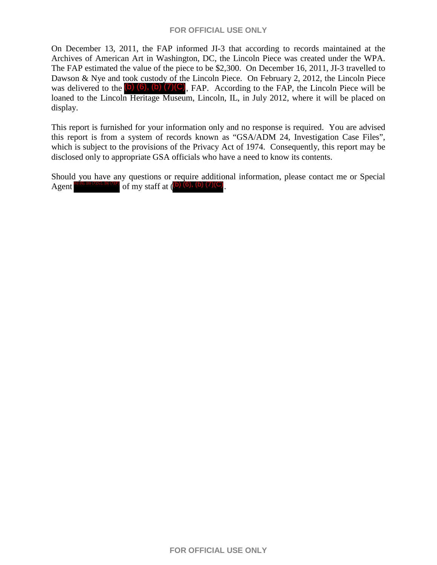On December 13, 2011, the FAP informed JI-3 that according to records maintained at the Archives of American Art in Washington, DC, the Lincoln Piece was created under the WPA. The FAP estimated the value of the piece to be \$2,300. On December 16, 2011, JI-3 travelled to Dawson & Nye and took custody of the Lincoln Piece. On February 2, 2012, the Lincoln Piece was delivered to the  $(b)$   $(6)$ ,  $(b)$   $(7)(C)$ , FAP. According to the FAP, the Lincoln Piece will be loaned to the Lincoln Heritage Museum, Lincoln, IL, in July 2012, where it will be placed on display.

This report is furnished for your information only and no response is required. You are advised this report is from a system of records known as "GSA/ADM 24, Investigation Case Files", which is subject to the provisions of the Privacy Act of 1974. Consequently, this report may be disclosed only to appropriate GSA officials who have a need to know its contents.

Should you have any questions or require additional information, please contact me or Special Agent  $^{\circ}$  (6), (b) (7)(C), (b) (7)(F) of my staff at (b) (6), (b) (7)(C).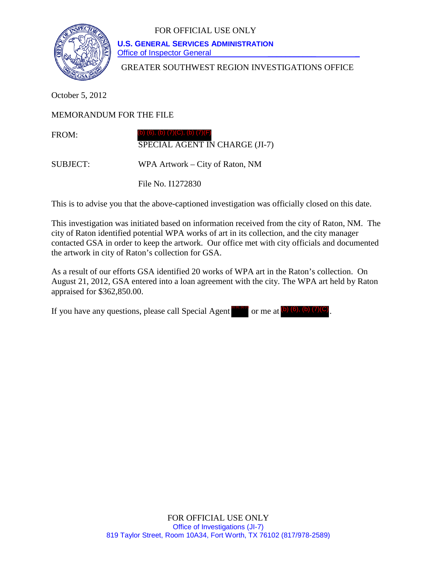

 **U.S. GENERAL SERVICES ADMINISTRATION** Office of Inspector General

GREATER SOUTHWEST REGION INVESTIGATIONS OFFICE

October 5, 2012

MEMORANDUM FOR THE FILE

FROM: SPECIAL AGENT IN CHARGE (JI-7) ) (6), (b) (7)(C), (b) (7)(

SUBJECT: WPA Artwork – City of Raton, NM

File No. I1272830

This is to advise you that the above-captioned investigation was officially closed on this date.

This investigation was initiated based on information received from the city of Raton, NM. The city of Raton identified potential WPA works of art in its collection, and the city manager contacted GSA in order to keep the artwork. Our office met with city officials and documented the artwork in city of Raton's collection for GSA.

As a result of our efforts GSA identified 20 works of WPA art in the Raton's collection. On August 21, 2012, GSA entered into a loan agreement with the city. The WPA art held by Raton appraised for \$362,850.00.

If you have any questions, please call Special Agent  $\frac{\log n}{n}$  or me at  $\frac{\log n}{n}$  (6), (b) (7)(C).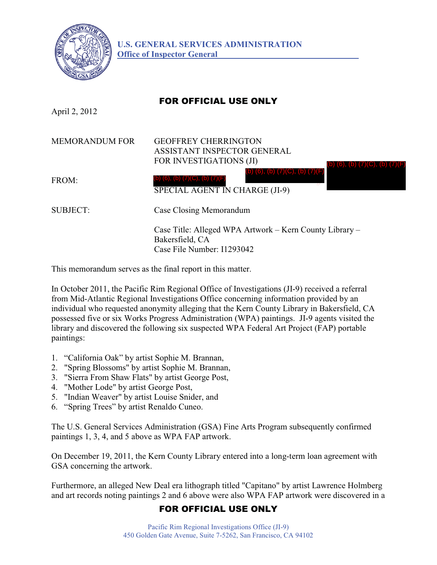

## FOR OFFICIAL USE ONLY

April 2, 2012

| <b>MEMORANDUM FOR</b> | <b>GEOFFREY CHERRINGTON</b><br>ASSISTANT INSPECTOR GENERAL<br>FOR INVESTIGATIONS (JI)<br>(b) (6), (b) (7)(C), (b) (7 |
|-----------------------|----------------------------------------------------------------------------------------------------------------------|
| FROM:                 | (b) (6), (b) $(7)(C)$ , (b) $(7)(F)$<br>(b) (6), (b) $(7)(C)$ , (b) $(7)(F)$<br>SPECIAL AGENT IN CHARGE (JI-9)       |
| <b>SUBJECT:</b>       | Case Closing Memorandum                                                                                              |
|                       | Case Title: Alleged WPA Artwork – Kern County Library –<br>Bakersfield, CA<br>Case File Number: I1293042             |

This memorandum serves as the final report in this matter.

In October 2011, the Pacific Rim Regional Office of Investigations (JI-9) received a referral from Mid-Atlantic Regional Investigations Office concerning information provided by an individual who requested anonymity alleging that the Kern County Library in Bakersfield, CA possessed five or six Works Progress Administration (WPA) paintings. JI-9 agents visited the library and discovered the following six suspected WPA Federal Art Project (FAP) portable paintings:

- 1. "California Oak" by artist Sophie M. Brannan,
- 2. "Spring Blossoms" by artist Sophie M. Brannan,
- 3. "Sierra From Shaw Flats" by artist George Post,
- 4. "Mother Lode" by artist George Post,
- 5. "Indian Weaver" by artist Louise Snider, and
- 6. "Spring Trees" by artist Renaldo Cuneo.

The U.S. General Services Administration (GSA) Fine Arts Program subsequently confirmed paintings 1, 3, 4, and 5 above as WPA FAP artwork.

On December 19, 2011, the Kern County Library entered into a long-term loan agreement with GSA concerning the artwork.

Furthermore, an alleged New Deal era lithograph titled "Capitano" by artist Lawrence Holmberg and art records noting paintings 2 and 6 above were also WPA FAP artwork were discovered in a

## FOR OFFICIAL USE ONLY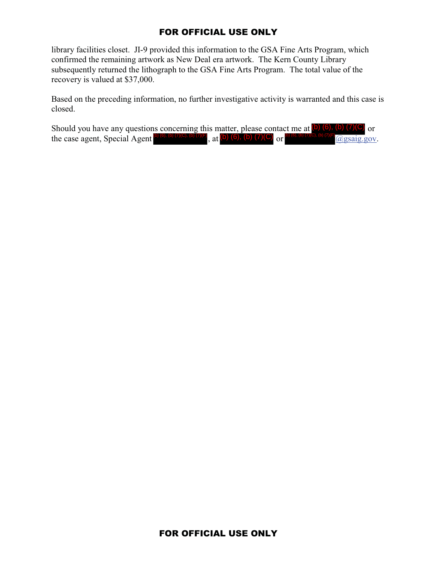library facilities closet. JI-9 provided this information to the GSA Fine Arts Program, which confirmed the remaining artwork as New Deal era artwork. The Kern County Library subsequently returned the lithograph to the GSA Fine Arts Program. The total value of the recovery is valued at \$37,000.

Based on the preceding information, no further investigative activity is warranted and this case is closed.

Should you have any questions concerning this matter, please contact me at  $\left(\bullet\right)$  (6), (b) (7)(C) or the case agent, Special Agent  $\frac{1}{2}$  (6) (6), (b) (7)(6), (b) (6), (b) (6), (b) (7)(C) or  $\frac{1}{2}$  (6), (b) (7)(c), (b) (7)(f) (e) (g) (6), (b) (7)(f) (e) (c), (b) (7)(f) (e) (c), (b) (7)(f) (e) (c) (c) (c) (c) (c) (c , at  $(b)$  (6), (b) (7)(C) or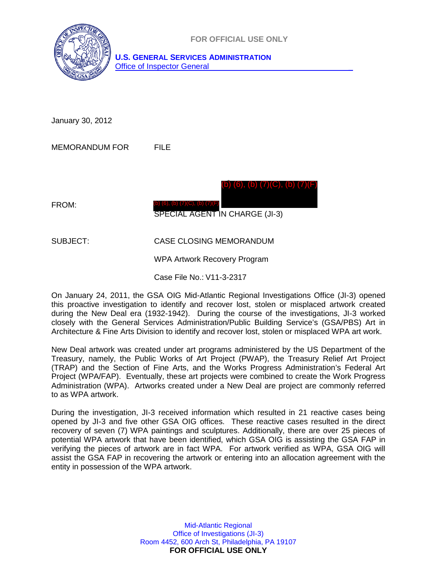

January 30, 2012

MEMORANDUM FOR FILE

FROM: SPECIAL AGENT IN CHARGE (JI-3) (b) (6), (b) (7)(C), (b) (7)(F) (b) (6), (b) (7)(C), (b) (7)(F)

SUBJECT: CASE CLOSING MEMORANDUM

WPA Artwork Recovery Program

Case File No.: V11-3-2317

On January 24, 2011, the GSA OIG Mid-Atlantic Regional Investigations Office (JI-3) opened this proactive investigation to identify and recover lost, stolen or misplaced artwork created during the New Deal era (1932-1942). During the course of the investigations, JI-3 worked closely with the General Services Administration/Public Building Service's (GSA/PBS) Art in Architecture & Fine Arts Division to identify and recover lost, stolen or misplaced WPA art work.

New Deal artwork was created under art programs administered by the US Department of the Treasury, namely, the Public Works of Art Project (PWAP), the Treasury Relief Art Project (TRAP) and the Section of Fine Arts, and the Works Progress Administration's Federal Art Project (WPA/FAP). Eventually, these art projects were combined to create the Work Progress Administration (WPA). Artworks created under a New Deal are project are commonly referred to as WPA artwork.

During the investigation, JI-3 received information which resulted in 21 reactive cases being opened by JI-3 and five other GSA OIG offices. These reactive cases resulted in the direct recovery of seven (7) WPA paintings and sculptures. Additionally, there are over 25 pieces of potential WPA artwork that have been identified, which GSA OIG is assisting the GSA FAP in verifying the pieces of artwork are in fact WPA. For artwork verified as WPA, GSA OIG will assist the GSA FAP in recovering the artwork or entering into an allocation agreement with the entity in possession of the WPA artwork.

> Mid-Atlantic Regional Office of Investigations (JI-3) Room 4452, 600 Arch St, Philadelphia, PA 19107 **FOR OFFICIAL USE ONLY**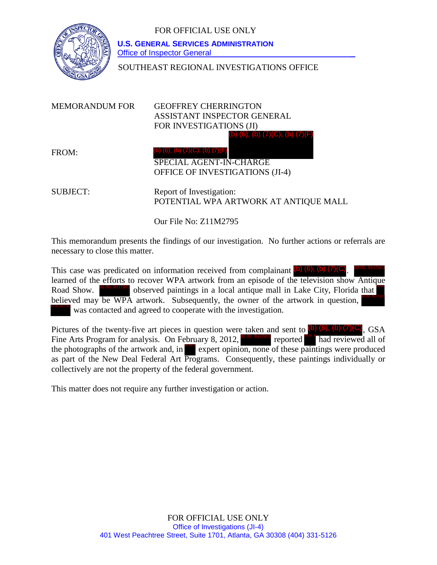

 **U.S. GENERAL SERVICES ADMINISTRATION** Office of Inspector General

SOUTHEAST REGIONAL INVESTIGATIONS OFFICE

| MEMORANDUM FOR  | <b>GEOFFREY CHERRINGTON</b><br>ASSISTANT INSPECTOR GENERAL<br>FOR INVESTIGATIONS (JI)              |
|-----------------|----------------------------------------------------------------------------------------------------|
| FROM:           | (b) (6), (b) (7)(C), (b) (7)(F)<br>(b) (6), (b) $(7)(C)$ , (b) $(7)(F)$<br>SPECIAL AGENT-IN-CHARGE |
|                 | OFFICE OF INVESTIGATIONS (JI-4)                                                                    |
| <b>SUBJECT:</b> | Report of Investigation:<br>POTENTIAL WPA ARTWORK AT ANTIQUE MALL                                  |

Our File No: Z11M2795

This memorandum presents the findings of our investigation. No further actions or referrals are necessary to close this matter.

This case was predicated on information received from complainant  $(b)$   $(6)$ ,  $(b)$   $(7)(C)$ . learned of the efforts to recover WPA artwork from an episode of the television show Antique Road Show.  $\left( \frac{b}{b} \right)$  (6), (b) (7)(c) observed paintings in a local antique mall in Lake City, Florida that believed may be WPA artwork. Subsequently, the owner of the artwork in question, was contacted and agreed to cooperate with the investigation. (b) (6), (b) (7)(C)

Pictures of the twenty-five art pieces in question were taken and sent to  $(b)$  (6), (b) (7)(C), GSA Fine Arts Program for analysis. On February 8, 2012,  $\frac{1}{10}$  (6), 6) (6) the photographs of the artwork and, in expert opinion, none of these paintings were produced as part of the New Deal Federal Art Programs. Consequently, these paintings individually or collectively are not the property of the federal government. reported had reviewed all of

This matter does not require any further investigation or action.